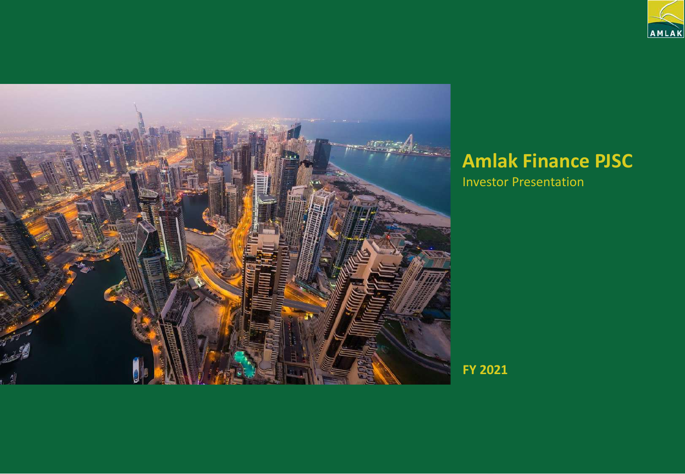



# **Amlak Finance PJSC**

Investor Presentation

**FY 2021**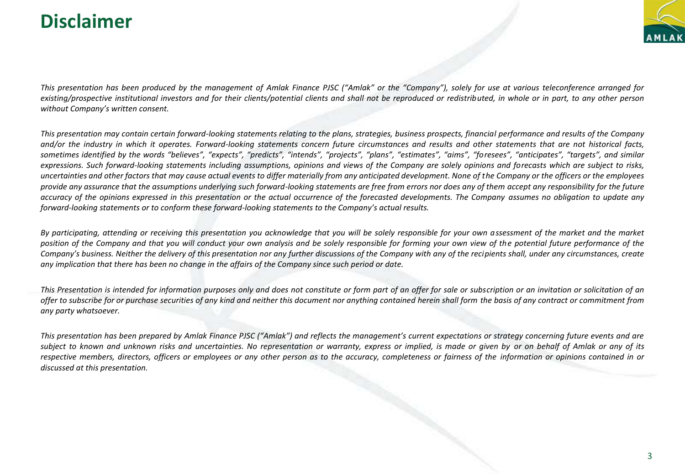## **Disclaimer**



*This presentation has been produced by the management of Amlak Finance PJSC ("Amlak" or the "Company"), solely for use at various teleconference arranged for existing/prospective institutional investors and for their clients/potential clients and shall not be reproduced or redistributed, in whole or in part, to any other person without Company's written consent.*

*This presentation may contain certain forward-looking statements relating to the plans, strategies, business prospects, financial performance and results of the Company and/or the industry in which it operates. Forward-looking statements concern future circumstances and results and other statements that are not historical facts, sometimes identified by the words "believes", "expects", "predicts", "intends", "projects", "plans", "estimates", "aims", "foresees", "anticipates", "targets", and similar expressions. Such forward-looking statements including assumptions, opinions and views of the Company are solely opinions and forecasts which are subject to risks, uncertainties and other factors that may cause actual events to differ materially from any anticipated development. None of the Company or the officers or the employees provide any assurance that the assumptions underlying such forward-looking statements are free from errors nor does any of them accept any responsibility for the future accuracy of the opinions expressed in this presentation or the actual occurrence of the forecasted developments. The Company assumes no obligation to update any forward-looking statements or to conform these forward-looking statements to the Company's actual results.*

*By participating, attending or receiving this presentation you acknowledge that you will be solely responsible for your own assessment of the market and the market position of the Company and that you will conduct your own analysis and be solely responsible for forming your own view of the potential future performance of the Company's business. Neither the delivery of this presentation nor any further discussions of the Company with any of the recipients shall, under any circumstances, create any implication that there has been no change in the affairs of the Company since such period or date.*

*This Presentation is intended for information purposes only and does not constitute or form part of an offer for sale or subscription or an invitation or solicitation of an offer to subscribe for or purchase securities of any kind and neither this document nor anything contained herein shall form the basis of any contract or commitment from any party whatsoever.*

*This presentation has been prepared by Amlak Finance PJSC ("Amlak") and reflects the management's current expectations or strategy concerning future events and are subject to known and unknown risks and uncertainties. No representation or warranty, express or implied, is made or given by or on behalf of Amlak or any of its respective members, directors, officers or employees or any other person as to the accuracy, completeness or fairness of the information or opinions contained in or discussed at this presentation.*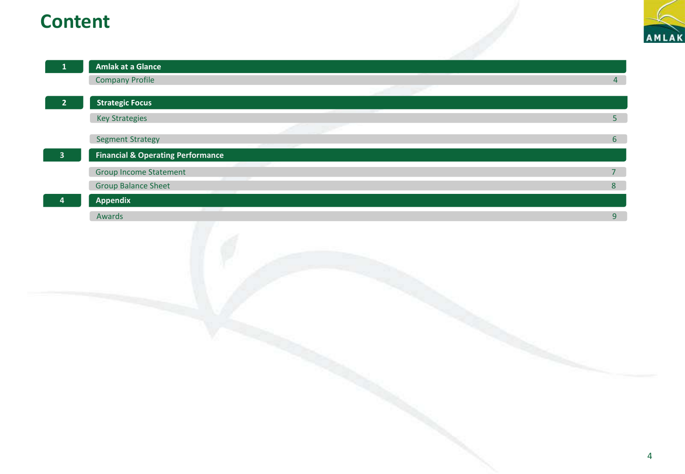## **Content**

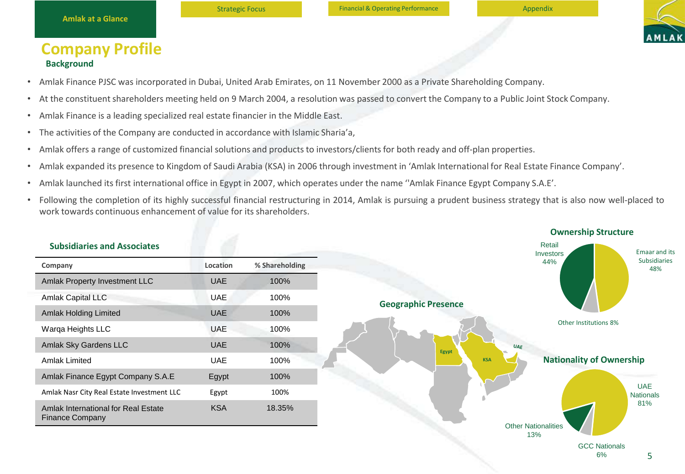

#### **Company Profile Background**

- Amlak Finance PJSC was incorporated in Dubai, United Arab Emirates, on 11 November 2000 as a Private Shareholding Company.
- At the constituent shareholders meeting held on 9 March 2004, a resolution was passed to convert the Company to a Public Joint Stock Company.
- Amlak Finance is a leading specialized real estate financier in the Middle East.
- The activities of the Company are conducted in accordance with Islamic Sharia'a,
- Amlak offers a range of customized financial solutions and products to investors/clients for both ready and off-plan properties.
- Amlak expanded its presence to Kingdom of Saudi Arabia (KSA) in 2006 through investment in 'Amlak International for Real Estate Finance Company'.
- Amlak launched its first international office in Egypt in 2007, which operates under the name ''Amlak Finance Egypt Company S.A.E'.
- Following the completion of its highly successful financial restructuring in 2014, Amlak is pursuing a prudent business strategy that is also now well-placed to work towards continuous enhancement of value for its shareholders.

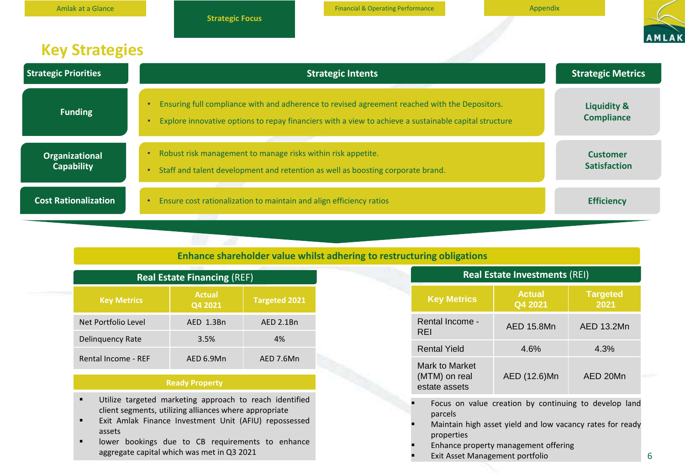| <b>Amlak at a Glance</b>            | <b>Strategic Focus</b>                                                           | <b>Financial &amp; Operating Performance</b>                                                                                                                                                           | Appendix                                    |
|-------------------------------------|----------------------------------------------------------------------------------|--------------------------------------------------------------------------------------------------------------------------------------------------------------------------------------------------------|---------------------------------------------|
| <b>Key Strategies</b>               |                                                                                  |                                                                                                                                                                                                        |                                             |
| <b>Strategic Priorities</b>         |                                                                                  | <b>Strategic Intents</b>                                                                                                                                                                               | <b>Strategic Metrics</b>                    |
| <b>Funding</b>                      |                                                                                  | Ensuring full compliance with and adherence to revised agreement reached with the Depositors.<br>Explore innovative options to repay financiers with a view to achieve a sustainable capital structure | <b>Liquidity &amp;</b><br><b>Compliance</b> |
| Organizational<br><b>Capability</b> | Robust risk management to manage risks within risk appetite.<br>٠<br>$\bullet$   | Staff and talent development and retention as well as boosting corporate brand.                                                                                                                        | <b>Customer</b><br><b>Satisfaction</b>      |
| <b>Cost Rationalization</b>         | Ensure cost rationalization to maintain and align efficiency ratios<br>$\bullet$ |                                                                                                                                                                                                        | <b>Efficiency</b>                           |

#### **Enhance shareholder value whilst adhering to restructuring obligations**

| <b>Real Estate Financing (REF)</b> |                          |                      |  |  |
|------------------------------------|--------------------------|----------------------|--|--|
| <b>Key Metrics</b>                 | <b>Actual</b><br>Q4 2021 | <b>Targeted 2021</b> |  |  |
| Net Portfolio Level                | AED 1.3Bn                | AED 2.1Bn            |  |  |
| Delinquency Rate                   | 3.5%                     | 4%                   |  |  |
| Rental Income - REF                | AED 6.9Mn                | AED 7.6Mn            |  |  |

**Sustainable Funding**

#### **Ready Property**

- Utilize targeted marketing approach to reach identified client segments, utilizing alliances where appropriate
- Exit Amlak Finance Investment Unit (AFIU) repossessed assets
- lower bookings due to CB requirements to enhance aggregate capital which was met in Q3 2021

| <b>Real Estate Investments (REI)</b>                  |                          |                         |  |  |  |
|-------------------------------------------------------|--------------------------|-------------------------|--|--|--|
| <b>Key Metrics</b>                                    | <b>Actual</b><br>Q4 2021 | <b>Targeted</b><br>2021 |  |  |  |
| Rental Income -<br>REI                                | AED 15.8Mn               | AED 13.2Mn              |  |  |  |
| <b>Rental Yield</b>                                   | 4.6%                     | 4.3%                    |  |  |  |
| Mark to Market<br>(MTM) on real<br>estate assets      | AED (12.6)Mn             | AED 20Mn                |  |  |  |
| Focus on value creation by continuing to develop land |                          |                         |  |  |  |

- parcels
- Maintain high asset yield and low vacancy rates for ready properties
- Enhance property management offering
- **Exit Asset Management portfolio**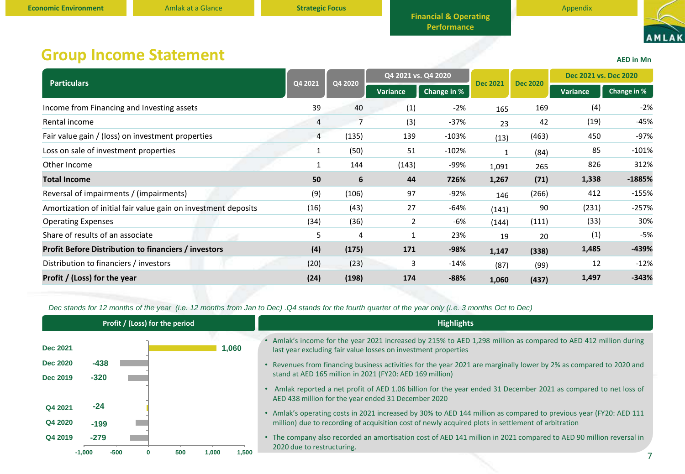

**AED in Mn**

## **Group Income Statement**

| <b>Particulars</b>                                             | Q4 2021 | Q4 2020 | Q4 2021 vs. Q4 2020 |             |                 |                 | Dec 2021 vs. Dec 2020 |             |
|----------------------------------------------------------------|---------|---------|---------------------|-------------|-----------------|-----------------|-----------------------|-------------|
|                                                                |         |         | Variance            | Change in % | <b>Dec 2021</b> | <b>Dec 2020</b> | <b>Variance</b>       | Change in % |
| Income from Financing and Investing assets                     | 39      | 40      | (1)                 | $-2%$       | 165             | 169             | (4)                   | $-2%$       |
| Rental income                                                  | 4       | 7       | (3)                 | $-37%$      | 23              | 42              | (19)                  | $-45%$      |
| Fair value gain / (loss) on investment properties              | 4       | (135)   | 139                 | $-103%$     | (13)            | (463)           | 450                   | -97%        |
| Loss on sale of investment properties                          |         | (50)    | 51                  | $-102%$     | 1               | (84)            | 85                    | $-101%$     |
| Other Income                                                   |         | 144     | (143)               | -99%        | 1,091           | 265             | 826                   | 312%        |
| <b>Total Income</b>                                            | 50      | 6       | 44                  | 726%        | 1,267           | (71)            | 1,338                 | $-1885%$    |
| Reversal of impairments / (impairments)                        | (9)     | (106)   | 97                  | $-92%$      | 146             | (266)           | 412                   | $-155%$     |
| Amortization of initial fair value gain on investment deposits | (16)    | (43)    | 27                  | $-64%$      | (141)           | 90              | (231)                 | $-257%$     |
| <b>Operating Expenses</b>                                      | (34)    | (36)    | 2                   | -6%         | (144)           | (111)           | (33)                  | 30%         |
| Share of results of an associate                               | 5       | 4       |                     | 23%         | 19              | 20              | (1)                   | -5%         |
| <b>Profit Before Distribution to financiers / investors</b>    | (4)     | (175)   | 171                 | $-98%$      | 1,147           | (338)           | 1,485                 | -439%       |
| Distribution to financiers / investors                         | (20)    | (23)    | 3                   | $-14%$      | (87)            | (99)            | 12                    | $-12%$      |
| Profit / (Loss) for the year                                   | (24)    | (198)   | 174                 | $-88%$      | 1,060           | (437)           | 1,497                 | $-343%$     |

*Dec stands for 12 months of the year (i.e. 12 months from Jan to Dec) .Q4 stands for the fourth quarter of the year only (i.e. 3 months Oct to Dec)*

| Profit / (Loss) for the period             | <b>Highlights</b>                                                                                                                                                                                                       |
|--------------------------------------------|-------------------------------------------------------------------------------------------------------------------------------------------------------------------------------------------------------------------------|
| <b>Dec 2021</b><br>060,                    | Amlak's income for the year 2021 increased by 215% to AED 1,298 million as compared to AED 412 million during<br>last year excluding fair value losses on investment properties                                         |
| <b>Dec 2020</b><br>-438                    | • Revenues from financing business activities for the year 2021 are marginally lower by 2% as compared to 2020 and                                                                                                      |
| $-320$<br><b>Dec 2019</b>                  | stand at AED 165 million in 2021 (FY20: AED 169 million)                                                                                                                                                                |
|                                            | Amlak reported a net profit of AED 1.06 billion for the year ended 31 December 2021 as compared to net loss of<br>AED 438 million for the year ended 31 December 2020                                                   |
| $-24$<br>Q4 2021                           |                                                                                                                                                                                                                         |
| Q4 2020<br>$-199$                          | • Amlak's operating costs in 2021 increased by 30% to AED 144 million as compared to previous year (FY20: AED 111<br>million) due to recording of acquisition cost of newly acquired plots in settlement of arbitration |
| $-279$<br>Q4 2019                          | • The company also recorded an amortisation cost of AED 141 million in 2021 compared to AED 90 million reversal in<br>2020 due to restructuring.                                                                        |
| -500<br>1,500<br>$-1.000$<br>500<br>000. ا |                                                                                                                                                                                                                         |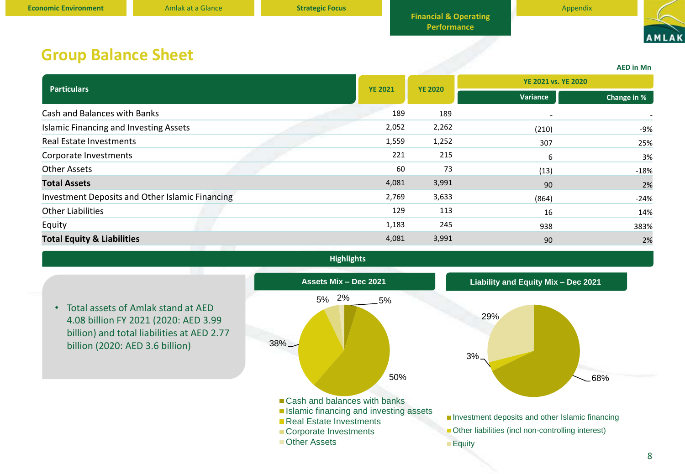

**AED in Mn**

### **Group Balance Sheet**

| <b>Particulars</b>                              |                | <b>YE 2020</b> | <b>YE 2021 vs. YE 2020</b> |             |  |
|-------------------------------------------------|----------------|----------------|----------------------------|-------------|--|
|                                                 | <b>YE 2021</b> |                | Variance                   | Change in % |  |
| Cash and Balances with Banks                    | 189            | 189            | $\overline{\phantom{a}}$   |             |  |
| <b>Islamic Financing and Investing Assets</b>   | 2,052          | 2,262          | (210)                      | $-9%$       |  |
| Real Estate Investments                         | 1,559          | 1,252          | 307                        | 25%         |  |
| Corporate Investments                           | 221            | 215            | 6                          | 3%          |  |
| <b>Other Assets</b>                             | 60             | 73             | (13)                       | $-18%$      |  |
| <b>Total Assets</b>                             | 4,081          | 3,991          | 90                         | 2%          |  |
| Investment Deposits and Other Islamic Financing | 2,769          | 3,633          | (864)                      | $-24%$      |  |
| <b>Other Liabilities</b>                        | 129            | 113            | 16                         | 14%         |  |
| Equity                                          | 1,183          | 245            | 938                        | 383%        |  |
| <b>Total Equity &amp; Liabilities</b>           | 4,081          | 3,991          | 90                         | 2%          |  |
|                                                 |                |                |                            |             |  |

**Highlights**

• Total assets of Amlak stand at AED 4.08 billion FY 2021 (2020: AED 3.99 billion) and total liabilities at AED 2.77 billion (2020: AED 3.6 billion)

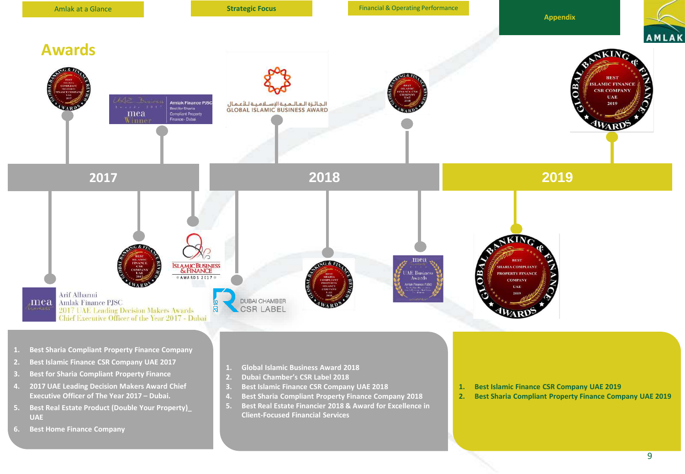